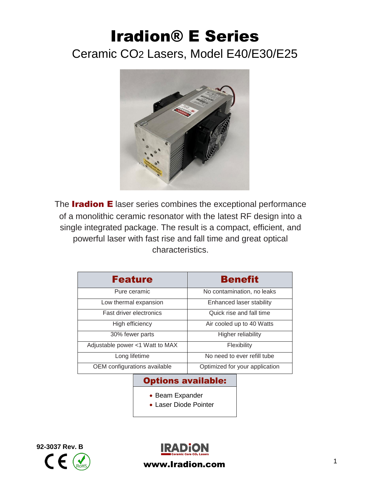# Iradion® E Series Ceramic CO2 Lasers, Model E40/E30/E25



The **Iradion E** laser series combines the exceptional performance of a monolithic ceramic resonator with the latest RF design into a single integrated package. The result is a compact, efficient, and powerful laser with fast rise and fall time and great optical characteristics.

| <b>Feature</b>                  | <b>Benefit</b>                 |  |
|---------------------------------|--------------------------------|--|
| Pure ceramic                    | No contamination, no leaks     |  |
| Low thermal expansion           | Enhanced laser stability       |  |
| <b>Fast driver electronics</b>  | Quick rise and fall time       |  |
| High efficiency                 | Air cooled up to 40 Watts      |  |
| 30% fewer parts                 | Higher reliability             |  |
| Adjustable power <1 Watt to MAX | Flexibility                    |  |
| Long lifetime                   | No need to ever refill tube    |  |
| OEM configurations available    | Optimized for your application |  |

#### Options available:

- Beam Expander
- Laser Diode Pointer





www.Iradion.com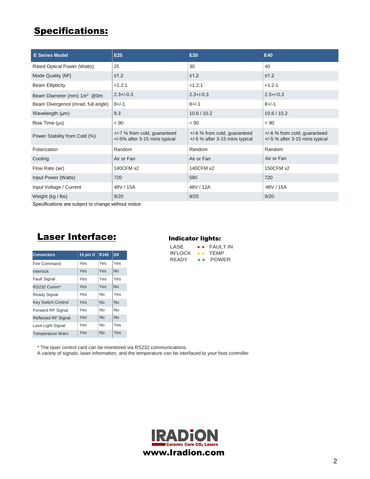## Specifications:

| <b>E Series Model</b>                    | E25                                                             | E30                                                                | E40                                                                |
|------------------------------------------|-----------------------------------------------------------------|--------------------------------------------------------------------|--------------------------------------------------------------------|
| Rated Optical Power (Watts)              | 25                                                              | 30                                                                 | 40                                                                 |
| Mode Quality (M <sup>2</sup> )           | $\leq 1.2$                                                      | $\leq 1.2$                                                         | $\leq 1.2$                                                         |
| <b>Beam Ellipticity</b>                  | < 1.2:1                                                         | < 1.2:1                                                            | < 1.2:1                                                            |
| Beam Diameter (mm) 1/e <sup>2</sup> @ 0m | $2.3 + / -0.3$                                                  | $2.3 + (-0.3)$                                                     | $2.3 + (-0.3)$                                                     |
| Beam Divergence (mrad, full angle)       | $8 + (-1)$                                                      | $8 + (-1)$                                                         | $8 + (-1)$                                                         |
| Wavelength (µm)                          | 9.3                                                             | 10.6 / 10.2                                                        | 10.6 / 10.2                                                        |
| Rise Time (µs)                           | < 90                                                            | < 90                                                               | < 90                                                               |
| Power Stability from Cold (%)            | $+/-7$ % from cold, guaranteed<br>+/-5% after 3-15 mins typical | $+/-6$ % from cold, guaranteed<br>$+/-5$ % after 3-15 mins typical | $+/-6$ % from cold, guaranteed<br>$+/-5$ % after 3-15 mins typical |
| Polarization                             | Random                                                          | Random                                                             | Random                                                             |
| Cooling                                  | Air or Fan                                                      | Air or Fan                                                         | Air or Fan                                                         |
| Flow Rate (air)                          | 140CFM x2                                                       | 140CFM x2                                                          | 150CFM x2                                                          |
| Input Power (Watts)                      | 720                                                             | 580                                                                | 720                                                                |
| Input Voltage / Current                  | 48V / 15A                                                       | 48V / 12A                                                          | 48V / 15A                                                          |
| Weight (kg / lbs)                        | 9/20                                                            | 9/20                                                               | 9/20                                                               |

Specifications are subject to change without notice

## Laser Interface:

| <b>Connectors</b>          | 15 pin D | <b>RJ45</b>    | D <sub>9</sub> |
|----------------------------|----------|----------------|----------------|
| Fire Command               | Yes      | Yes            | Yes            |
| Interlock                  | Yes      | Yes            | <b>No</b>      |
| <b>Fault Signal</b>        | Yes      | Yes            | Yes            |
| RS232 Comm*                | Yes      | Yes            | No             |
| <b>Ready Signal</b>        | Yes      | No             | Yes            |
| <b>Key Switch Control</b>  | Yes      | N <sub>0</sub> | N <sub>0</sub> |
| Forward RF Signal          | Yes      | N <sub>0</sub> | <b>No</b>      |
| <b>Reflected RF Signal</b> | Yes      | <b>No</b>      | <b>No</b>      |
| Lase Light Signal          | Yes      | No             | Yes            |
| <b>Temperature Warn</b>    | Yes      | <b>No</b>      | Yes            |

#### Indicator lights:

| LASE    | $\bullet$ $\bullet$ | <b>FAULT IN</b> |
|---------|---------------------|-----------------|
| IN'LOCK | $\bullet\bullet$    | <b>TFMP</b>     |
| RFADY   | $\bullet$ $\bullet$ | <b>POWER</b>    |

\* The laser control card can be monitored via RS232 communications.

A variety of signals, laser information, and the temperature can be interfaced to your host controller